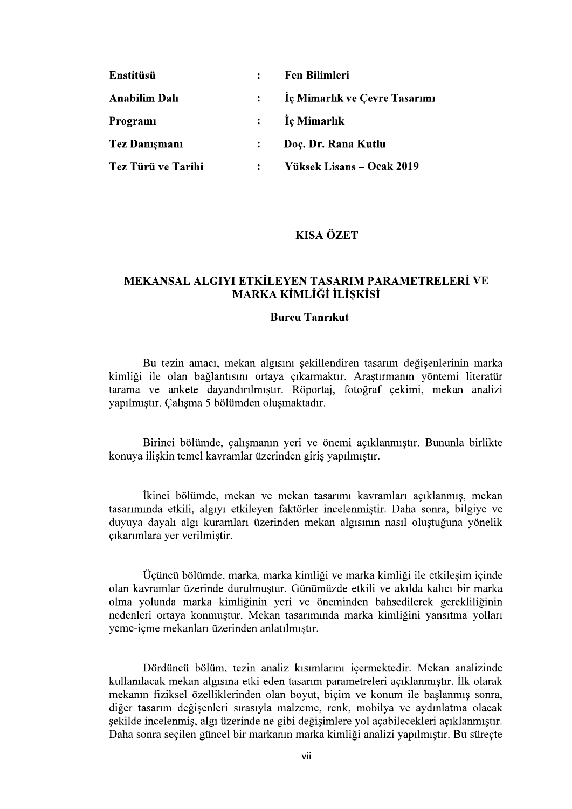| Enstitüsü            |                | <b>Fen Bilimleri</b>          |
|----------------------|----------------|-------------------------------|
| <b>Anabilim Dalı</b> | $\ddot{\cdot}$ | Iç Mimarlık ve Çevre Tasarımı |
| Programi             | $\ddot{\cdot}$ | Iç Mimarlık                   |
| <b>Tez Danismani</b> | $\ddot{\cdot}$ | Doç. Dr. Rana Kutlu           |
| Tez Türü ve Tarihi   | $\ddot{\cdot}$ | Yüksek Lisans – Ocak 2019     |

# **KISA ÖZET**

# MEKANSAL ALGIYI ETKİLEYEN TASARIM PARAMETRELERİ VE **MARKA KİMLİĞİ İLİŞKİSİ**

### **Burcu Tanrikut**

Bu tezin amacı, mekan algısını sekillendiren tasarım değisenlerinin marka kimliği ile olan bağlantısını ortaya çıkarmaktır. Araştırmanın yöntemi literatür tarama ve ankete dayandırılmıştır. Röportaj, fotoğraf çekimi, mekan analizi yapılmıştır. Çalışma 5 bölümden oluşmaktadır.

Birinci bölümde, çalışmanın yeri ve önemi açıklanmıştır. Bununla birlikte konuya ilişkin temel kavramlar üzerinden giriş yapılmıştır.

İkinci bölümde, mekan ve mekan tasarımı kavramları açıklanmış, mekan tasarımında etkili, algıyı etkileyen faktörler incelenmiştir. Daha sonra, bilgiye ve duyuya dayalı algı kuramları üzerinden mekan algısının nasıl olustuğuna yönelik çıkarımlara yer verilmiştir.

Üçüncü bölümde, marka, marka kimliği ve marka kimliği ile etkileşim içinde olan kavramlar üzerinde durulmustur. Günümüzde etkili ve akılda kalıcı bir marka olma yolunda marka kimliğinin yeri ve öneminden bahsedilerek gerekliliğinin nedenleri ortava konmustur. Mekan tasarımında marka kimliğini yansıtma yolları yeme-icme mekanları üzerinden anlatılmıştır.

Dördüncü bölüm, tezin analiz kısımlarını icermektedir. Mekan analizinde kullanılacak mekan algısına etki eden tasarım parametreleri açıklanmıştır. İlk olarak mekanın fiziksel özelliklerinden olan boyut, biçim ve konum ile başlanmış sonra, diğer tasarım değişenleri sırasıyla malzeme, renk, mobilya ve aydınlatma olacak sekilde incelenmis, algı üzerinde ne gibi değisimlere yol açabilecekleri açıklanmıştır. Daha sonra seçilen güncel bir markanın marka kimliği analizi yapılmıştır. Bu süreçte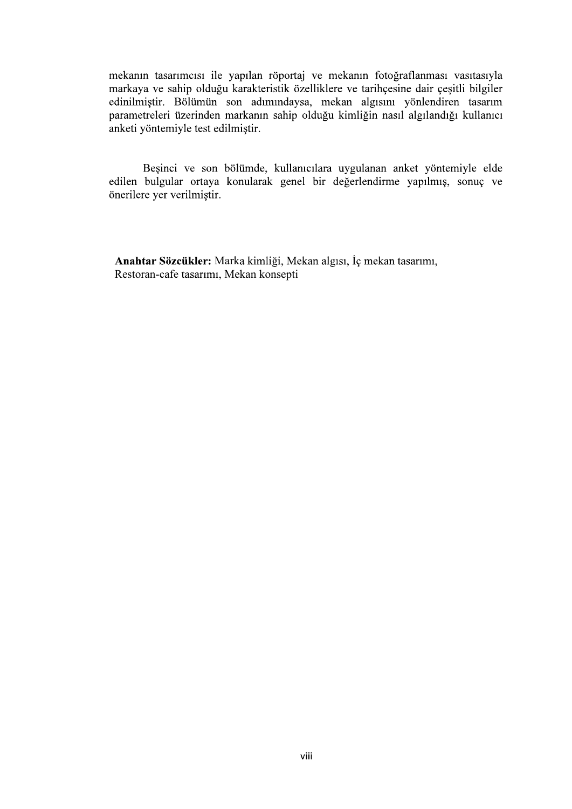mekanın tasarımcısı ile yapılan röportaj ve mekanın fotoğraflanması vasıtasıyla markaya ve sahip olduğu karakteristik özelliklere ve tarihçesine dair çeşitli bilgiler edinilmiştir. Bölümün son adımındaysa, mekan algısını yönlendiren tasarım parametreleri üzerinden markanın sahip olduğu kimliğin nasıl algılandığı kullanıcı anketi yöntemiyle test edilmiştir.

Beşinci ve son bölümde, kullanıcılara uygulanan anket yöntemiyle elde edilen bulgular ortaya konularak genel bir değerlendirme yapılmış, sonuç ve önerilere yer verilmiştir.

Anahtar Sözcükler: Marka kimliği, Mekan algısı, İç mekan tasarımı, Restoran-cafe tasarımı, Mekan konsepti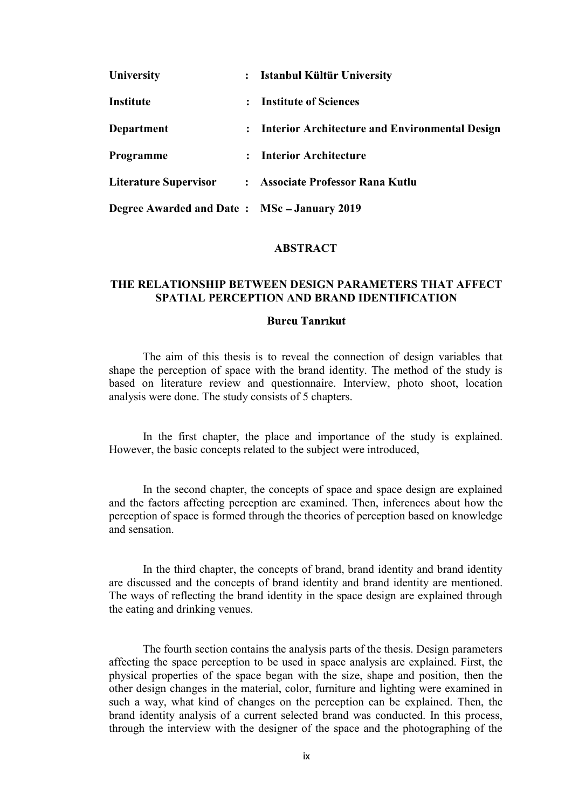| University                                  | $\ddot{\cdot}$ | Istanbul Kültür University                     |
|---------------------------------------------|----------------|------------------------------------------------|
| Institute                                   | $\ddot{\cdot}$ | <b>Institute of Sciences</b>                   |
| Department                                  | $\ddot{\cdot}$ | Interior Architecture and Environmental Design |
| Programme                                   | $\ddot{\cdot}$ | <b>Interior Architecture</b>                   |
| <b>Literature Supervisor</b>                |                | : Associate Professor Rana Kutlu               |
| Degree Awarded and Date: MSc - January 2019 |                |                                                |

#### ABSTRACT

## THE RELATIONSHIP BETWEEN DESIGN PARAMETERS THAT AFFECT SPATIAL PERCEPTION AND BRAND IDENTIFICATION

### **Burcu Tanrikut**

The aim of this thesis is to reveal the connection of design variables that shape the perception of space with the brand identity. The method of the study is based on literature review and questionnaire. Interview, photo shoot, location analysis were done. The study consists of 5 chapters.

In the first chapter, the place and importance of the study is explained. However, the basic concepts related to the subject were introduced,

In the second chapter, the concepts of space and space design are explained and the factors affecting perception are examined. Then, inferences about how the perception of space is formed through the theories of perception based on knowledge and sensation.

In the third chapter, the concepts of brand, brand identity and brand identity are discussed and the concepts of brand identity and brand identity are mentioned. The ways of reflecting the brand identity in the space design are explained through the eating and drinking venues.

The fourth section contains the analysis parts of the thesis. Design parameters affecting the space perception to be used in space analysis are explained. First, the physical properties of the space began with the size, shape and position, then the other design changes in the material, color, furniture and lighting were examined in such a way, what kind of changes on the perception can be explained. Then, the brand identity analysis of a current selected brand was conducted. In this process, through the interview with the designer of the space and the photographing of the